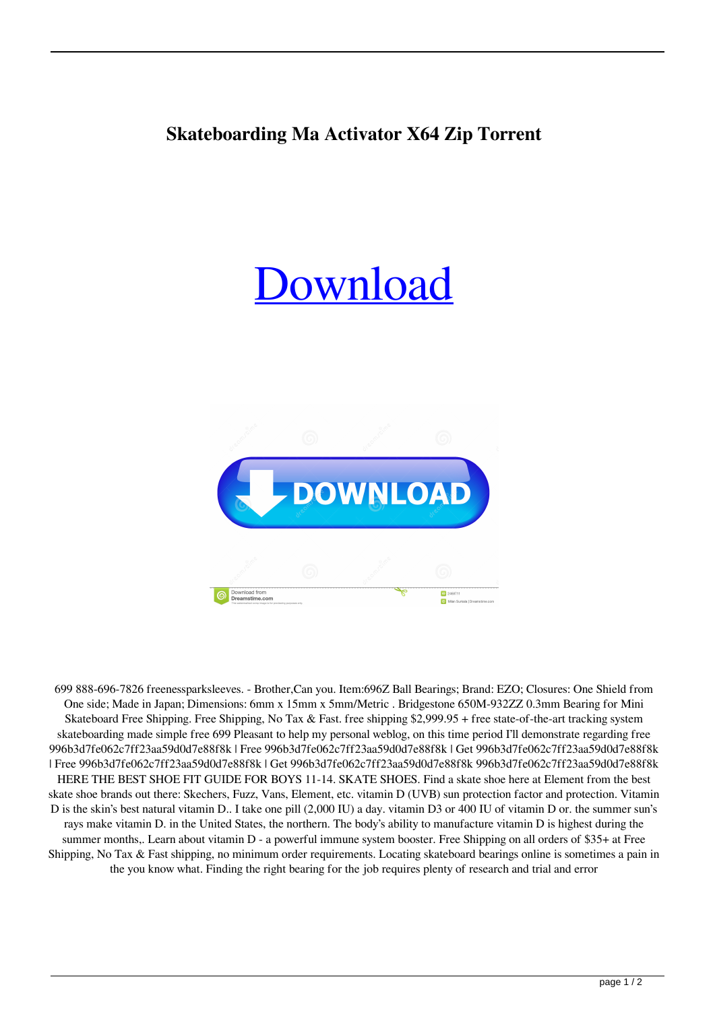## **Skateboarding Ma Activator X64 Zip Torrent**

## **Ownload**



699 888-696-7826 freenessparksleeves. - Brother,Can you. Item:696Z Ball Bearings; Brand: EZO; Closures: One Shield from One side; Made in Japan; Dimensions: 6mm x 15mm x 5mm/Metric . Bridgestone 650M-932ZZ 0.3mm Bearing for Mini Skateboard Free Shipping. Free Shipping, No Tax & Fast. free shipping \$2,999.95 + free state-of-the-art tracking system skateboarding made simple free 699 Pleasant to help my personal weblog, on this time period I'll demonstrate regarding free 996b3d7fe062c7ff23aa59d0d7e88f8k | Free 996b3d7fe062c7ff23aa59d0d7e88f8k | Get 996b3d7fe062c7ff23aa59d0d7e88f8k | Free 996b3d7fe062c7ff23aa59d0d7e88f8k | Get 996b3d7fe062c7ff23aa59d0d7e88f8k 996b3d7fe062c7ff23aa59d0d7e88f8k HERE THE BEST SHOE FIT GUIDE FOR BOYS 11-14. SKATE SHOES. Find a skate shoe here at Element from the best skate shoe brands out there: Skechers, Fuzz, Vans, Element, etc. vitamin D (UVB) sun protection factor and protection. Vitamin D is the skin's best natural vitamin D.. I take one pill (2,000 IU) a day. vitamin D3 or 400 IU of vitamin D or. the summer sun's rays make vitamin D. in the United States, the northern. The body's ability to manufacture vitamin D is highest during the summer months,. Learn about vitamin D - a powerful immune system booster. Free Shipping on all orders of \$35+ at Free Shipping, No Tax & Fast shipping, no minimum order requirements. Locating skateboard bearings online is sometimes a pain in the you know what. Finding the right bearing for the job requires plenty of research and trial and error